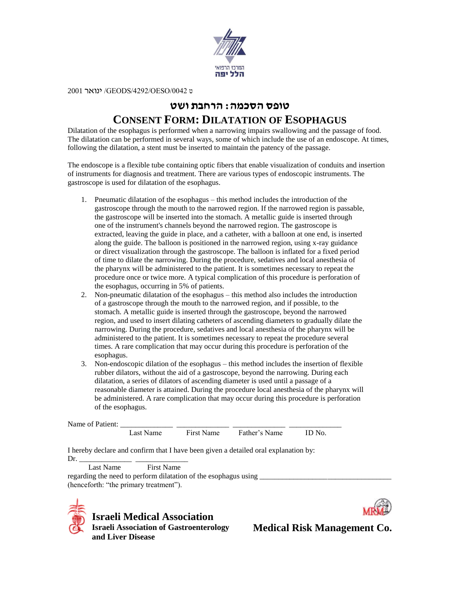

ט /0042OESO/4292/GEODS/ ינואר 2001

## **טופס הסכמה: הרחבת ושט CONSENT FORM: DILATATION OF ESOPHAGUS**

Dilatation of the esophagus is performed when a narrowing impairs swallowing and the passage of food. The dilatation can be performed in several ways, some of which include the use of an endoscope. At times, following the dilatation, a stent must be inserted to maintain the patency of the passage.

The endoscope is a flexible tube containing optic fibers that enable visualization of conduits and insertion of instruments for diagnosis and treatment. There are various types of endoscopic instruments. The gastroscope is used for dilatation of the esophagus.

- 1. Pneumatic dilatation of the esophagus this method includes the introduction of the gastroscope through the mouth to the narrowed region. If the narrowed region is passable, the gastroscope will be inserted into the stomach. A metallic guide is inserted through one of the instrument's channels beyond the narrowed region. The gastroscope is extracted, leaving the guide in place, and a catheter, with a balloon at one end, is inserted along the guide. The balloon is positioned in the narrowed region, using x-ray guidance or direct visualization through the gastroscope. The balloon is inflated for a fixed period of time to dilate the narrowing. During the procedure, sedatives and local anesthesia of the pharynx will be administered to the patient. It is sometimes necessary to repeat the procedure once or twice more. A typical complication of this procedure is perforation of the esophagus, occurring in 5% of patients.
- 2. Non-pneumatic dilatation of the esophagus this method also includes the introduction of a gastroscope through the mouth to the narrowed region, and if possible, to the stomach. A metallic guide is inserted through the gastroscope, beyond the narrowed region, and used to insert dilating catheters of ascending diameters to gradually dilate the narrowing. During the procedure, sedatives and local anesthesia of the pharynx will be administered to the patient. It is sometimes necessary to repeat the procedure several times. A rare complication that may occur during this procedure is perforation of the esophagus.
- 3. Non-endoscopic dilation of the esophagus this method includes the insertion of flexible rubber dilators, without the aid of a gastroscope, beyond the narrowing. During each dilatation, a series of dilators of ascending diameter is used until a passage of a reasonable diameter is attained. During the procedure local anesthesia of the pharynx will be administered. A rare complication that may occur during this procedure is perforation of the esophagus.

| Name of Patient: |  |  |
|------------------|--|--|
|                  |  |  |

Last Name First Name Father's Name ID No.

I hereby declare and confirm that I have been given a detailed oral explanation by: Dr. \_\_\_\_\_\_\_\_\_\_\_\_\_\_ \_\_\_\_\_\_\_\_\_\_\_\_\_\_

Last Name First Name

regarding the need to perform dilatation of the esophagus using (henceforth: "the primary treatment").





**Medical Risk Management Co.**